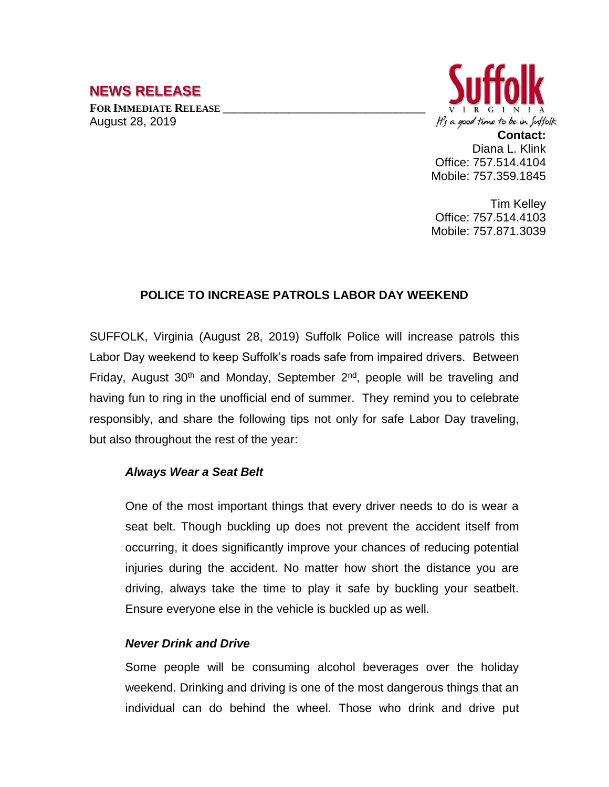# **NEWS RELEASE**

**FOR IMMEDIATE RELEASE \_\_\_\_\_\_\_\_\_\_\_\_\_\_\_\_\_\_\_\_\_\_\_\_\_\_\_\_\_\_\_\_\_\_** August 28, 2019



**Contact:** Diana L. Klink Office: 757.514.4104 Mobile: 757.359.1845

Tim Kelley Office: 757.514.4103 Mobile: 757.871.3039

## **POLICE TO INCREASE PATROLS LABOR DAY WEEKEND**

SUFFOLK, Virginia (August 28, 2019) Suffolk Police will increase patrols this Labor Day weekend to keep Suffolk's roads safe from impaired drivers. Between Friday, August 30<sup>th</sup> and Monday, September 2<sup>nd</sup>, people will be traveling and having fun to ring in the unofficial end of summer. They remind you to celebrate responsibly, and share the following tips not only for safe Labor Day traveling, but also throughout the rest of the year:

### *Always Wear a Seat Belt*

One of the most important things that every driver needs to do is wear a seat belt. Though buckling up does not prevent the [accident](http://springersteinberg.com/personal-injury/car-accidents/) itself from occurring, it does significantly improve your chances of reducing potential injuries during the accident. No matter how short the distance you are driving, always take the time to play it safe by buckling your seatbelt. Ensure everyone else in the vehicle is buckled up as well.

### *Never Drink and Drive*

Some people will be consuming alcohol beverages over the holiday weekend. Drinking and driving is one of the most dangerous things that an individual can do behind the wheel. Those who drink and drive put